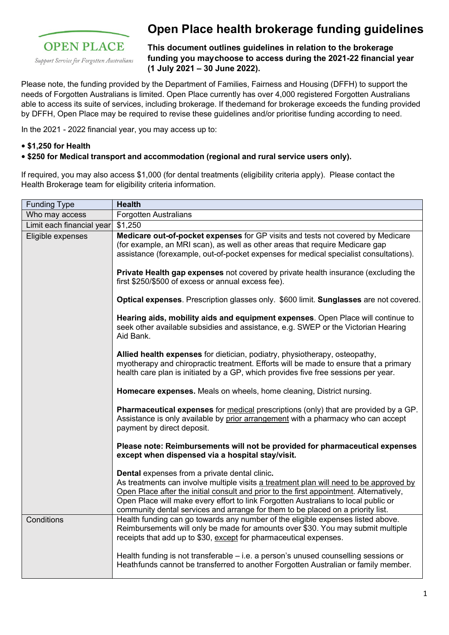

# **Open Place health brokerage funding guidelines**

**This document outlines guidelines in relation to the brokerage funding you maychoose to access during the 2021-22 financial year (1 July 2021 – 30 June 2022).**

Please note, the funding provided by the Department of Families, Fairness and Housing (DFFH) to support the needs of Forgotten Australians is limited. Open Place currently has over 4,000 registered Forgotten Australians able to access its suite of services, including brokerage. If thedemand for brokerage exceeds the funding provided by DFFH, Open Place may be required to revise these guidelines and/or prioritise funding according to need.

In the 2021 - 2022 financial year, you may access up to:

### **• \$1,250 for Health**

### **• \$250 for Medical transport and accommodation (regional and rural service users only).**

If required, you may also access \$1,000 (for dental treatments (eligibility criteria apply). Please contact the Health Brokerage team for eligibility criteria information.

| <b>Funding Type</b>       | <b>Health</b>                                                                                                                                                                                                                                                                                                                                                                                               |
|---------------------------|-------------------------------------------------------------------------------------------------------------------------------------------------------------------------------------------------------------------------------------------------------------------------------------------------------------------------------------------------------------------------------------------------------------|
| Who may access            | <b>Forgotten Australians</b>                                                                                                                                                                                                                                                                                                                                                                                |
| Limit each financial year | \$1,250                                                                                                                                                                                                                                                                                                                                                                                                     |
| Eligible expenses         | Medicare out-of-pocket expenses for GP visits and tests not covered by Medicare<br>(for example, an MRI scan), as well as other areas that require Medicare gap<br>assistance (forexample, out-of-pocket expenses for medical specialist consultations).                                                                                                                                                    |
|                           | Private Health gap expenses not covered by private health insurance (excluding the<br>first \$250/\$500 of excess or annual excess fee).                                                                                                                                                                                                                                                                    |
|                           | Optical expenses. Prescription glasses only. \$600 limit. Sunglasses are not covered.                                                                                                                                                                                                                                                                                                                       |
|                           | Hearing aids, mobility aids and equipment expenses. Open Place will continue to<br>seek other available subsidies and assistance, e.g. SWEP or the Victorian Hearing<br>Aid Bank.                                                                                                                                                                                                                           |
|                           | Allied health expenses for dietician, podiatry, physiotherapy, osteopathy,<br>myotherapy and chiropractic treatment. Efforts will be made to ensure that a primary<br>health care plan is initiated by a GP, which provides five free sessions per year.                                                                                                                                                    |
|                           | Homecare expenses. Meals on wheels, home cleaning, District nursing.                                                                                                                                                                                                                                                                                                                                        |
|                           | Pharmaceutical expenses for medical prescriptions (only) that are provided by a GP.<br>Assistance is only available by prior arrangement with a pharmacy who can accept<br>payment by direct deposit.                                                                                                                                                                                                       |
|                           | Please note: Reimbursements will not be provided for pharmaceutical expenses<br>except when dispensed via a hospital stay/visit.                                                                                                                                                                                                                                                                            |
|                           | Dental expenses from a private dental clinic.<br>As treatments can involve multiple visits a treatment plan will need to be approved by<br>Open Place after the initial consult and prior to the first appointment. Alternatively,<br>Open Place will make every effort to link Forgotten Australians to local public or<br>community dental services and arrange for them to be placed on a priority list. |
| Conditions                | Health funding can go towards any number of the eligible expenses listed above.<br>Reimbursements will only be made for amounts over \$30. You may submit multiple<br>receipts that add up to \$30, except for pharmaceutical expenses.                                                                                                                                                                     |
|                           | Health funding is not transferable - i.e. a person's unused counselling sessions or<br>Heathfunds cannot be transferred to another Forgotten Australian or family member.                                                                                                                                                                                                                                   |